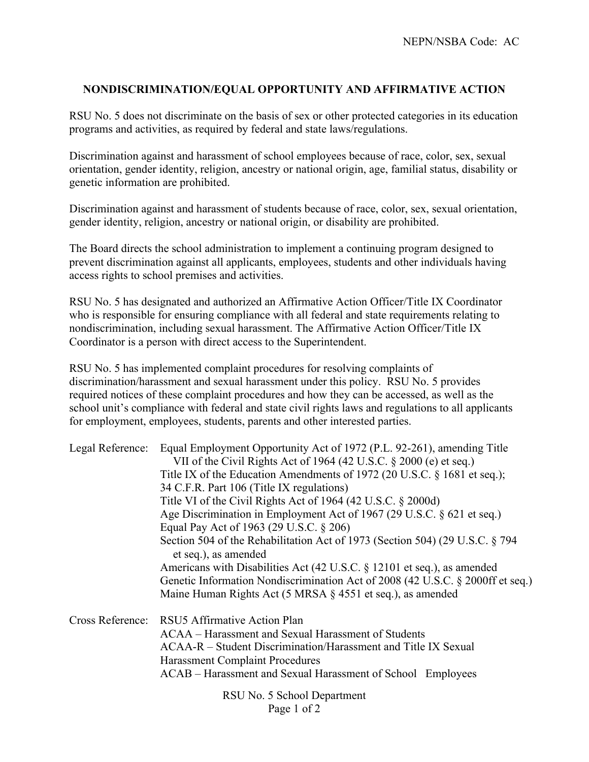## **NONDISCRIMINATION/EQUAL OPPORTUNITY AND AFFIRMATIVE ACTION**

RSU No. 5 does not discriminate on the basis of sex or other protected categories in its education programs and activities, as required by federal and state laws/regulations.

Discrimination against and harassment of school employees because of race, color, sex, sexual orientation, gender identity, religion, ancestry or national origin, age, familial status, disability or genetic information are prohibited.

Discrimination against and harassment of students because of race, color, sex, sexual orientation, gender identity, religion, ancestry or national origin, or disability are prohibited.

The Board directs the school administration to implement a continuing program designed to prevent discrimination against all applicants, employees, students and other individuals having access rights to school premises and activities.

RSU No. 5 has designated and authorized an Affirmative Action Officer/Title IX Coordinator who is responsible for ensuring compliance with all federal and state requirements relating to nondiscrimination, including sexual harassment. The Affirmative Action Officer/Title IX Coordinator is a person with direct access to the Superintendent.

RSU No. 5 has implemented complaint procedures for resolving complaints of discrimination/harassment and sexual harassment under this policy. RSU No. 5 provides required notices of these complaint procedures and how they can be accessed, as well as the school unit's compliance with federal and state civil rights laws and regulations to all applicants for employment, employees, students, parents and other interested parties.

|                  | Legal Reference: Equal Employment Opportunity Act of 1972 (P.L. 92-261), amending Title              |  |
|------------------|------------------------------------------------------------------------------------------------------|--|
|                  | VII of the Civil Rights Act of 1964 (42 U.S.C. § 2000 (e) et seq.)                                   |  |
|                  | Title IX of the Education Amendments of 1972 (20 U.S.C. § 1681 et seq.);                             |  |
|                  | 34 C.F.R. Part 106 (Title IX regulations)                                                            |  |
|                  | Title VI of the Civil Rights Act of 1964 (42 U.S.C. $\S$ 2000d)                                      |  |
|                  | Age Discrimination in Employment Act of 1967 (29 U.S.C. § 621 et seq.)                               |  |
|                  | Equal Pay Act of 1963 (29 U.S.C. § 206)                                                              |  |
|                  | Section 504 of the Rehabilitation Act of 1973 (Section 504) (29 U.S.C. § 794<br>et seq.), as amended |  |
|                  | Americans with Disabilities Act (42 U.S.C. § 12101 et seq.), as amended                              |  |
|                  | Genetic Information Nondiscrimination Act of 2008 (42 U.S.C. § 2000ff et seq.)                       |  |
|                  | Maine Human Rights Act (5 MRSA § 4551 et seq.), as amended                                           |  |
| Cross Reference: | RSU5 Affirmative Action Plan                                                                         |  |
|                  | ACAA – Harassment and Sexual Harassment of Students                                                  |  |
|                  | ACAA-R – Student Discrimination/Harassment and Title IX Sexual                                       |  |
|                  | <b>Harassment Complaint Procedures</b>                                                               |  |
|                  | ACAB – Harassment and Sexual Harassment of School Employees                                          |  |
|                  | RSU No. 5 School Department                                                                          |  |
|                  | Page 1 of 2                                                                                          |  |